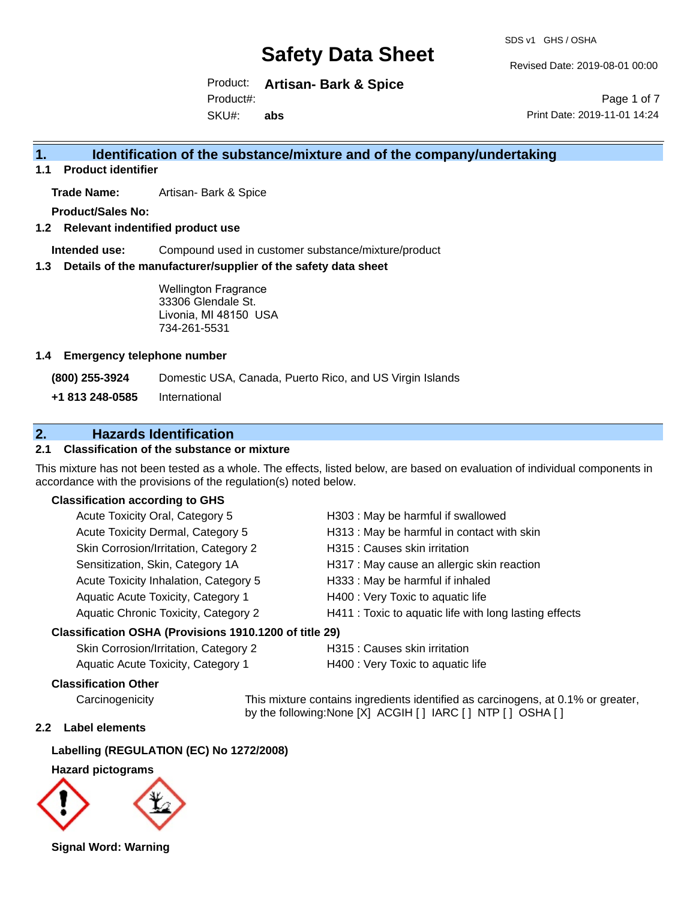SDS v1 GHS / OSHA

Revised Date: 2019-08-01 00:00

Product: **Artisan- Bark & Spice** SKU#: Product#: **abs**

Page 1 of 7 Print Date: 2019-11-01 14:24

## **1. Identification of the substance/mixture and of the company/undertaking**

**1.1 Product identifier**

**Trade Name:** Artisan- Bark & Spice

**Product/Sales No:**

**1.2 Relevant indentified product use**

**Intended use:** Compound used in customer substance/mixture/product

**1.3 Details of the manufacturer/supplier of the safety data sheet**

Wellington Fragrance 33306 Glendale St. Livonia, MI 48150 USA 734-261-5531

### **1.4 Emergency telephone number**

**(800) 255-3924** Domestic USA, Canada, Puerto Rico, and US Virgin Islands

**+1 813 248-0585** International

## **2. Hazards Identification**

## **2.1 Classification of the substance or mixture**

This mixture has not been tested as a whole. The effects, listed below, are based on evaluation of individual components in accordance with the provisions of the regulation(s) noted below.

## **Classification according to GHS**

| Acute Toxicity Oral, Category 5       | H303 : May be harmful if swallowed                     |
|---------------------------------------|--------------------------------------------------------|
| Acute Toxicity Dermal, Category 5     | H313 : May be harmful in contact with skin             |
| Skin Corrosion/Irritation, Category 2 | H315 : Causes skin irritation                          |
| Sensitization, Skin, Category 1A      | H317 : May cause an allergic skin reaction             |
| Acute Toxicity Inhalation, Category 5 | H333: May be harmful if inhaled                        |
| Aquatic Acute Toxicity, Category 1    | H400 : Very Toxic to aquatic life                      |
| Aquatic Chronic Toxicity, Category 2  | H411 : Toxic to aquatic life with long lasting effects |
|                                       |                                                        |

### **Classification OSHA (Provisions 1910.1200 of title 29)**

| Skin Corrosion/Irritation, Category 2 | H315 : Caเ |
|---------------------------------------|------------|
| Aquatic Acute Toxicity, Category 1    | H400 : Ver |

Jses skin irritation

y Toxic to aquatic life

## **Classification Other**

Carcinogenicity This mixture contains ingredients identified as carcinogens, at 0.1% or greater, by the following:None [X] ACGIH [ ] IARC [ ] NTP [ ] OSHA [ ]

## **2.2 Label elements**

## **Labelling (REGULATION (EC) No 1272/2008)**

**Hazard pictograms**



**Signal Word: Warning**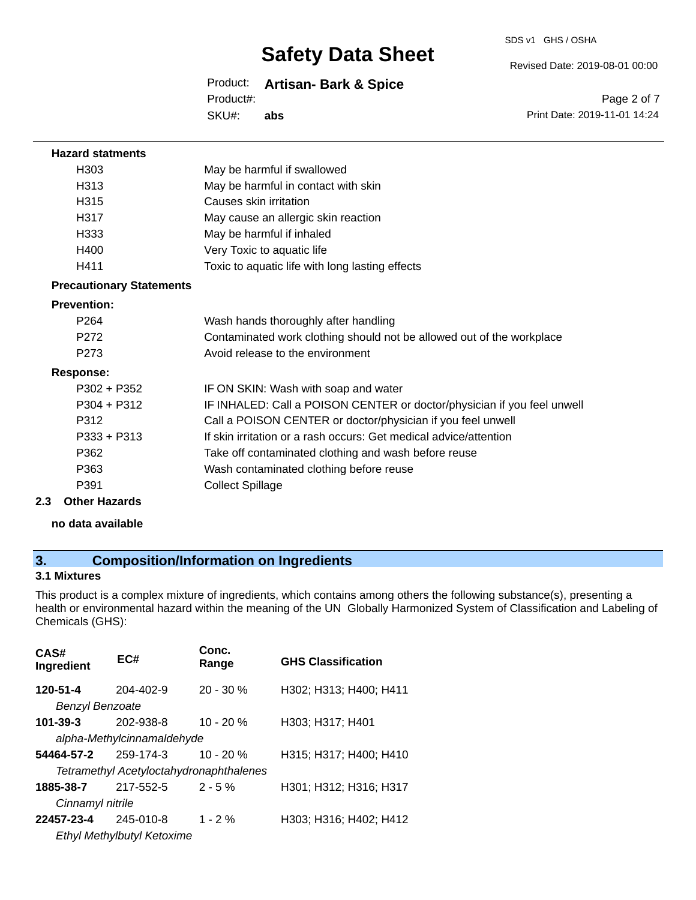SDS v1 GHS / OSHA

Revised Date: 2019-08-01 00:00

Product: **Artisan- Bark & Spice** SKU#: Product#: **abs**

Page 2 of 7 Print Date: 2019-11-01 14:24

| <b>Hazard statments</b>         |                                                                         |
|---------------------------------|-------------------------------------------------------------------------|
| H303                            | May be harmful if swallowed                                             |
| H313                            | May be harmful in contact with skin                                     |
| H <sub>315</sub>                | Causes skin irritation                                                  |
| H317                            | May cause an allergic skin reaction                                     |
| H333                            | May be harmful if inhaled                                               |
| H400                            | Very Toxic to aquatic life                                              |
| H411                            | Toxic to aquatic life with long lasting effects                         |
| <b>Precautionary Statements</b> |                                                                         |
| <b>Prevention:</b>              |                                                                         |
| P <sub>264</sub>                | Wash hands thoroughly after handling                                    |
| P272                            | Contaminated work clothing should not be allowed out of the workplace   |
| P <sub>273</sub>                | Avoid release to the environment                                        |
| <b>Response:</b>                |                                                                         |
| P302 + P352                     | IF ON SKIN: Wash with soap and water                                    |
| $P304 + P312$                   | IF INHALED: Call a POISON CENTER or doctor/physician if you feel unwell |
| P312                            | Call a POISON CENTER or doctor/physician if you feel unwell             |
| $P333 + P313$                   | If skin irritation or a rash occurs: Get medical advice/attention       |
| P362                            | Take off contaminated clothing and wash before reuse                    |
| P363                            | Wash contaminated clothing before reuse                                 |
| P391                            | <b>Collect Spillage</b>                                                 |
| 2.3<br><b>Other Hazards</b>     |                                                                         |
| no data available               |                                                                         |

## **3. Composition/Information on Ingredients**

## **3.1 Mixtures**

This product is a complex mixture of ingredients, which contains among others the following substance(s), presenting a health or environmental hazard within the meaning of the UN Globally Harmonized System of Classification and Labeling of Chemicals (GHS):

| CAS#<br>Ingredient         | EC#                                            | Conc.<br>Range | <b>GHS Classification</b> |
|----------------------------|------------------------------------------------|----------------|---------------------------|
| 120-51-4                   | 204-402-9                                      | $20 - 30 \%$   | H302; H313; H400; H411    |
| <b>Benzyl Benzoate</b>     |                                                |                |                           |
| 101-39-3                   | 202-938-8                                      | $10 - 20%$     | H303; H317; H401          |
| alpha-Methylcinnamaldehyde |                                                |                |                           |
| 54464-57-2                 | 259-174-3                                      | $10 - 20%$     | H315; H317; H400; H410    |
|                            | <b>Tetramethyl Acetyloctahydronaphthalenes</b> |                |                           |
| 1885-38-7                  | 217-552-5                                      | $2 - 5%$       | H301; H312; H316; H317    |
| Cinnamyl nitrile           |                                                |                |                           |
| 22457-23-4                 | 245-010-8                                      | $1 - 2%$       | H303; H316; H402; H412    |
|                            | Ethyl Methylbutyl Ketoxime                     |                |                           |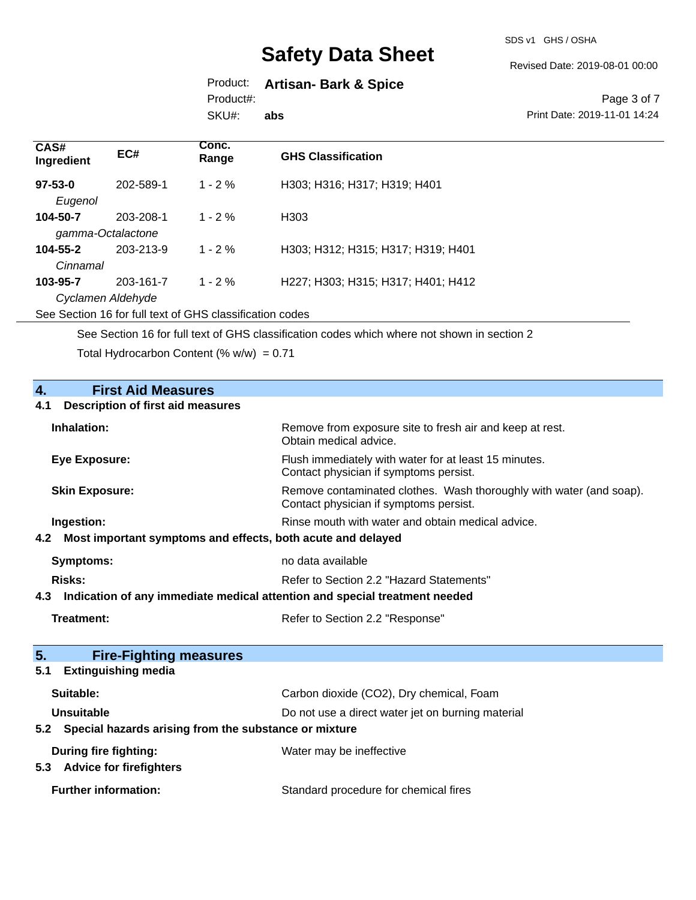SDS v1 GHS / OSHA

Revised Date: 2019-08-01 00:00

## Product: **Artisan- Bark & Spice**

Product#:

SKU#: **abs**

Page 3 of 7 Print Date: 2019-11-01 14:24

| CAS#<br>Ingredient | EC#       | Conc.<br>Range | <b>GHS Classification</b>          |
|--------------------|-----------|----------------|------------------------------------|
| $97 - 53 - 0$      | 202-589-1 | $1 - 2 \%$     | H303; H316; H317; H319; H401       |
| Eugenol            |           |                |                                    |
| 104-50-7           | 203-208-1 | $1 - 2\%$      | H <sub>303</sub>                   |
| gamma-Octalactone  |           |                |                                    |
| $104 - 55 - 2$     | 203-213-9 | $1 - 2\%$      | H303; H312; H315; H317; H319; H401 |
| Cinnamal           |           |                |                                    |
| 103-95-7           | 203-161-7 | $1 - 2 \%$     | H227; H303; H315; H317; H401; H412 |
| Cyclamen Aldehyde  |           |                |                                    |

See Section 16 for full text of GHS classification codes

See Section 16 for full text of GHS classification codes which where not shown in section 2

Total Hydrocarbon Content (%  $w/w$ ) = 0.71

| $\overline{4}$ .<br><b>First Aid Measures</b><br><b>Description of first aid measures</b><br>4.1 |                                                                                                               |
|--------------------------------------------------------------------------------------------------|---------------------------------------------------------------------------------------------------------------|
| Inhalation:                                                                                      | Remove from exposure site to fresh air and keep at rest.<br>Obtain medical advice.                            |
| <b>Eye Exposure:</b>                                                                             | Flush immediately with water for at least 15 minutes.<br>Contact physician if symptoms persist.               |
| <b>Skin Exposure:</b>                                                                            | Remove contaminated clothes. Wash thoroughly with water (and soap).<br>Contact physician if symptoms persist. |
| Ingestion:                                                                                       | Rinse mouth with water and obtain medical advice.                                                             |
| Most important symptoms and effects, both acute and delayed<br>4.2                               |                                                                                                               |
| <b>Symptoms:</b>                                                                                 | no data available                                                                                             |
| Risks:                                                                                           | Refer to Section 2.2 "Hazard Statements"                                                                      |
| Indication of any immediate medical attention and special treatment needed<br>4.3                |                                                                                                               |
| <b>Treatment:</b>                                                                                | Refer to Section 2.2 "Response"                                                                               |
| 5.<br><b>Fire-Fighting measures</b>                                                              |                                                                                                               |
| <b>Extinguishing media</b><br>5.1                                                                |                                                                                                               |
| Suitable:                                                                                        | Carbon dioxide (CO2), Dry chemical, Foam                                                                      |
| Unsuitable                                                                                       | Do not use a direct water jet on burning material                                                             |
| Special hazards arising from the substance or mixture<br>5.2                                     |                                                                                                               |
| During fire fighting:<br>5.3 Advice for firefighters                                             | Water may be ineffective                                                                                      |
| <b>Further information:</b>                                                                      | Standard procedure for chemical fires                                                                         |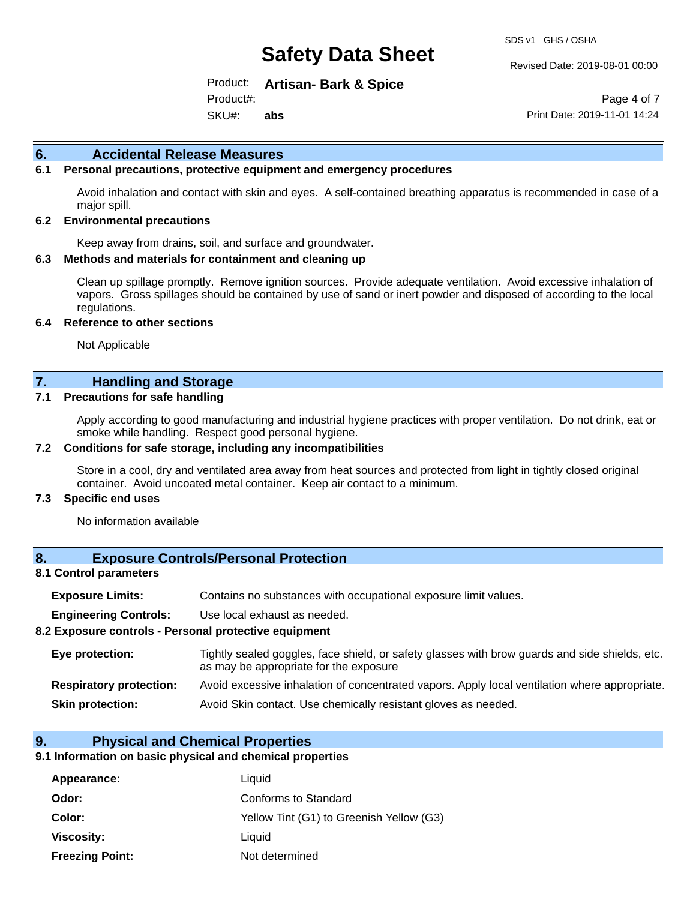Revised Date: 2019-08-01 00:00

Product: **Artisan- Bark & Spice** SKU#: Product#: **abs**

Page 4 of 7 Print Date: 2019-11-01 14:24

## **6. Accidental Release Measures**

## **6.1 Personal precautions, protective equipment and emergency procedures**

Avoid inhalation and contact with skin and eyes. A self-contained breathing apparatus is recommended in case of a major spill.

#### **6.2 Environmental precautions**

Keep away from drains, soil, and surface and groundwater.

#### **6.3 Methods and materials for containment and cleaning up**

Clean up spillage promptly. Remove ignition sources. Provide adequate ventilation. Avoid excessive inhalation of vapors. Gross spillages should be contained by use of sand or inert powder and disposed of according to the local regulations.

#### **6.4 Reference to other sections**

Not Applicable

## **7. Handling and Storage**

#### **7.1 Precautions for safe handling**

Apply according to good manufacturing and industrial hygiene practices with proper ventilation. Do not drink, eat or smoke while handling. Respect good personal hygiene.

#### **7.2 Conditions for safe storage, including any incompatibilities**

Store in a cool, dry and ventilated area away from heat sources and protected from light in tightly closed original container. Avoid uncoated metal container. Keep air contact to a minimum.

#### **7.3 Specific end uses**

No information available

## **8. Exposure Controls/Personal Protection**

## **8.1 Control parameters**

| <b>Exposure Limits:</b> |  |  |  | Contains no substances with occupational exposure limit values. |  |
|-------------------------|--|--|--|-----------------------------------------------------------------|--|
|-------------------------|--|--|--|-----------------------------------------------------------------|--|

**Engineering Controls:** Use local exhaust as needed.

#### **8.2 Exposure controls - Personal protective equipment**

| Eye protection:                | Tightly sealed goggles, face shield, or safety glasses with brow guards and side shields, etc.<br>as may be appropriate for the exposure |
|--------------------------------|------------------------------------------------------------------------------------------------------------------------------------------|
| <b>Respiratory protection:</b> | Avoid excessive inhalation of concentrated vapors. Apply local ventilation where appropriate.                                            |
| <b>Skin protection:</b>        | Avoid Skin contact. Use chemically resistant gloves as needed.                                                                           |

## **9. Physical and Chemical Properties**

#### **9.1 Information on basic physical and chemical properties**

| Appearance:            | Liquid                                   |
|------------------------|------------------------------------------|
| Odor:                  | Conforms to Standard                     |
| Color:                 | Yellow Tint (G1) to Greenish Yellow (G3) |
| Viscosity:             | Liauid                                   |
| <b>Freezing Point:</b> | Not determined                           |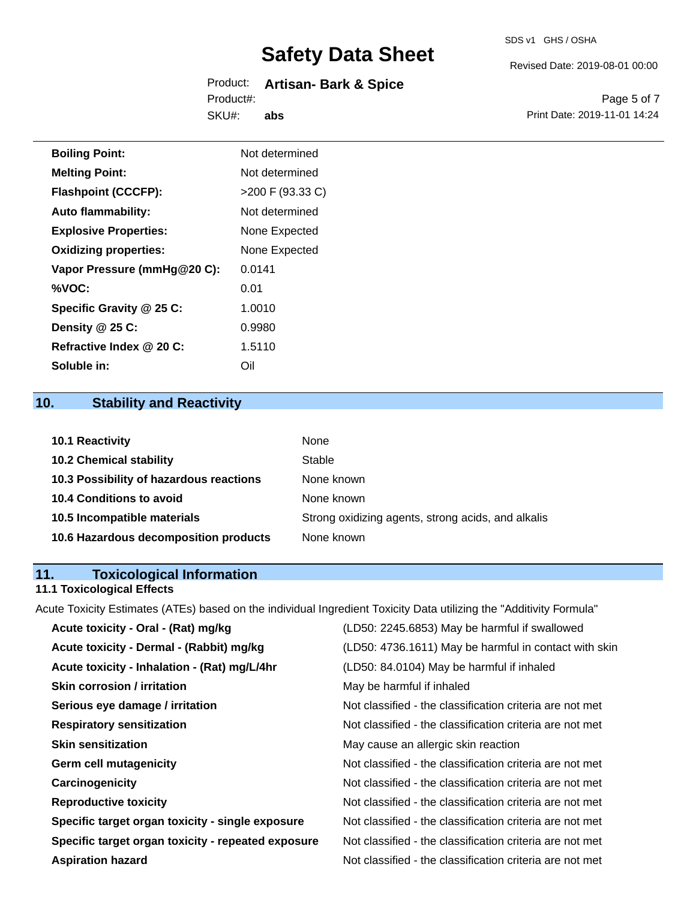#### SDS v1 GHS / OSHA

# **Safety Data Sheet**

#### Product: **Artisan- Bark & Spice** SKU#: Product#: **abs**

Revised Date: 2019-08-01 00:00

Page 5 of 7 Print Date: 2019-11-01 14:24

| <b>Boiling Point:</b>        | Not determined     |
|------------------------------|--------------------|
| <b>Melting Point:</b>        | Not determined     |
| <b>Flashpoint (CCCFP):</b>   | $>200$ F (93.33 C) |
| <b>Auto flammability:</b>    | Not determined     |
| <b>Explosive Properties:</b> | None Expected      |
| <b>Oxidizing properties:</b> | None Expected      |
| Vapor Pressure (mmHg@20 C):  | 0.0141             |
| %VOC:                        | 0.01               |
| Specific Gravity @ 25 C:     | 1.0010             |
| Density @ 25 C:              | 0.9980             |
| Refractive Index @ 20 C:     | 1.5110             |
| Soluble in:                  | Oil                |

## **10. Stability and Reactivity**

| 10.1 Reactivity                         | None                                               |
|-----------------------------------------|----------------------------------------------------|
| <b>10.2 Chemical stability</b>          | Stable                                             |
| 10.3 Possibility of hazardous reactions | None known                                         |
| 10.4 Conditions to avoid                | None known                                         |
| 10.5 Incompatible materials             | Strong oxidizing agents, strong acids, and alkalis |
| 10.6 Hazardous decomposition products   | None known                                         |

## **11. Toxicological Information**

## **11.1 Toxicological Effects**

Acute Toxicity Estimates (ATEs) based on the individual Ingredient Toxicity Data utilizing the "Additivity Formula"

| Acute toxicity - Oral - (Rat) mg/kg                | (LD50: 2245.6853) May be harmful if swallowed            |
|----------------------------------------------------|----------------------------------------------------------|
| Acute toxicity - Dermal - (Rabbit) mg/kg           | (LD50: 4736.1611) May be harmful in contact with skin    |
| Acute toxicity - Inhalation - (Rat) mg/L/4hr       | (LD50: 84.0104) May be harmful if inhaled                |
| <b>Skin corrosion / irritation</b>                 | May be harmful if inhaled                                |
| Serious eye damage / irritation                    | Not classified - the classification criteria are not met |
| <b>Respiratory sensitization</b>                   | Not classified - the classification criteria are not met |
| <b>Skin sensitization</b>                          | May cause an allergic skin reaction                      |
| <b>Germ cell mutagenicity</b>                      | Not classified - the classification criteria are not met |
| Carcinogenicity                                    | Not classified - the classification criteria are not met |
| <b>Reproductive toxicity</b>                       | Not classified - the classification criteria are not met |
| Specific target organ toxicity - single exposure   | Not classified - the classification criteria are not met |
| Specific target organ toxicity - repeated exposure | Not classified - the classification criteria are not met |
| <b>Aspiration hazard</b>                           | Not classified - the classification criteria are not met |
|                                                    |                                                          |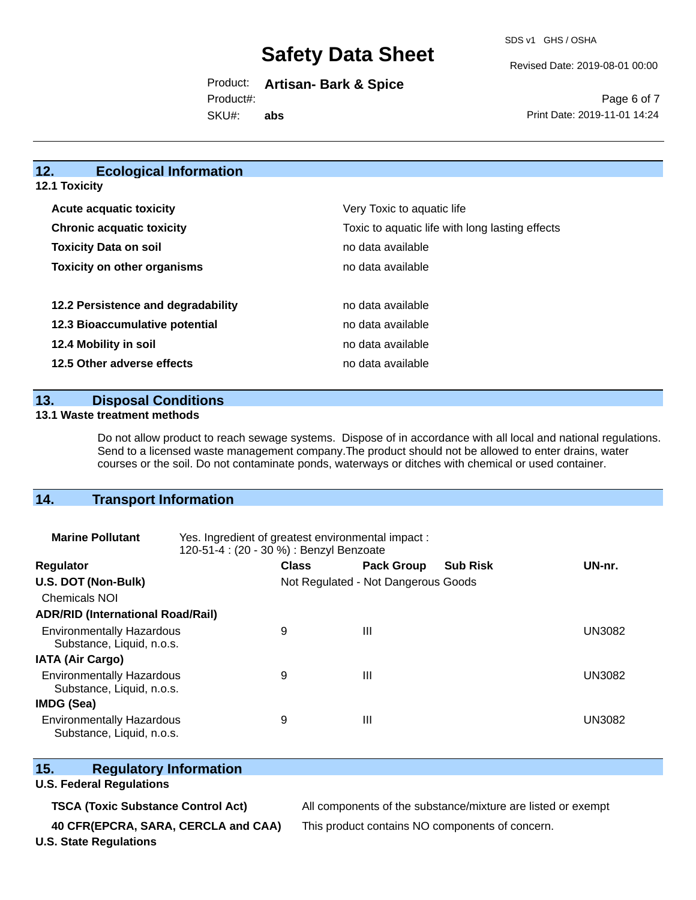SDS v1 GHS / OSHA

Revised Date: 2019-08-01 00:00

Product: **Artisan- Bark & Spice** Product#:

SKU#: **abs**

Page 6 of 7 Print Date: 2019-11-01 14:24

## **12. Ecological Information**

**12.1 Toxicity**

| <b>Acute acquatic toxicity</b>     | Very Toxic to aquatic life                      |
|------------------------------------|-------------------------------------------------|
| <b>Chronic acquatic toxicity</b>   | Toxic to aquatic life with long lasting effects |
| <b>Toxicity Data on soil</b>       | no data available                               |
| <b>Toxicity on other organisms</b> | no data available                               |
|                                    |                                                 |
| 12.2 Persistence and degradability | no data available                               |
| 12.3 Bioaccumulative potential     | no data available                               |
| 12.4 Mobility in soil              | no data available                               |
| 12.5 Other adverse effects         | no data available                               |

**13. Disposal Conditions** 

## **13.1 Waste treatment methods**

Do not allow product to reach sewage systems. Dispose of in accordance with all local and national regulations. Send to a licensed waste management company.The product should not be allowed to enter drains, water courses or the soil. Do not contaminate ponds, waterways or ditches with chemical or used container.

## **14. Transport Information**

| <b>Marine Pollutant</b>                                       | Yes. Ingredient of greatest environmental impact:<br>120-51-4 : (20 - 30 %) : Benzyl Benzoate |                                     |                   |                 |               |
|---------------------------------------------------------------|-----------------------------------------------------------------------------------------------|-------------------------------------|-------------------|-----------------|---------------|
| <b>Regulator</b>                                              |                                                                                               | <b>Class</b>                        | <b>Pack Group</b> | <b>Sub Risk</b> | UN-nr.        |
| U.S. DOT (Non-Bulk)                                           |                                                                                               | Not Regulated - Not Dangerous Goods |                   |                 |               |
| <b>Chemicals NOI</b>                                          |                                                                                               |                                     |                   |                 |               |
| <b>ADR/RID (International Road/Rail)</b>                      |                                                                                               |                                     |                   |                 |               |
| <b>Environmentally Hazardous</b><br>Substance, Liquid, n.o.s. |                                                                                               | 9                                   | Ш                 |                 | <b>UN3082</b> |
| <b>IATA (Air Cargo)</b>                                       |                                                                                               |                                     |                   |                 |               |
| <b>Environmentally Hazardous</b><br>Substance, Liquid, n.o.s. |                                                                                               | 9                                   | Ш                 |                 | <b>UN3082</b> |
| <b>IMDG (Sea)</b>                                             |                                                                                               |                                     |                   |                 |               |
| <b>Environmentally Hazardous</b><br>Substance, Liquid, n.o.s. |                                                                                               | 9                                   | Ш                 |                 | UN3082        |

## **15. Regulatory Information**

## **U.S. Federal Regulations**

**TSCA (Toxic Substance Control Act)** All components of the substance/mixture are listed or exempt

**40 CFR(EPCRA, SARA, CERCLA and CAA)** This product contains NO components of concern.